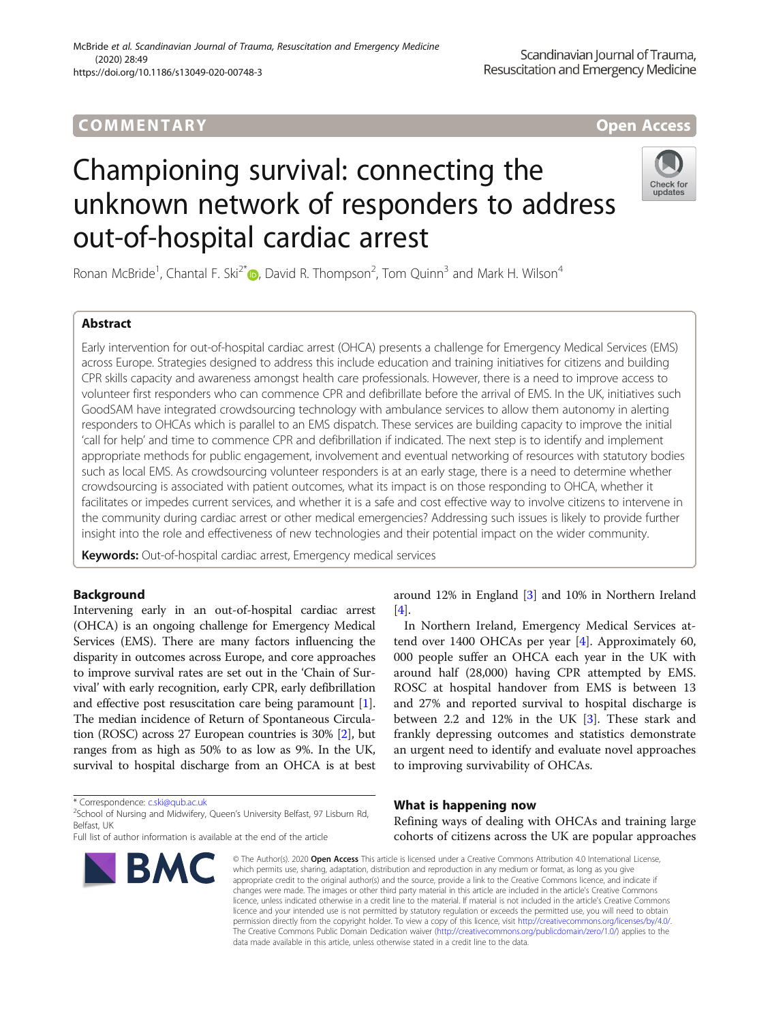# COMM EN TARY Open Access

# Championing survival: connecting the unknown network of responders to address out-of-hospital cardiac arrest

Ronan McBride<sup>1</sup>, Chantal F. Ski<sup>2[\\*](http://orcid.org/0000-0003-1324-2933)</sup> (**p**, David R. Thompson<sup>2</sup>, Tom Quinn<sup>3</sup> and Mark H. Wilson<sup>4</sup>

# Abstract

Early intervention for out-of-hospital cardiac arrest (OHCA) presents a challenge for Emergency Medical Services (EMS) across Europe. Strategies designed to address this include education and training initiatives for citizens and building CPR skills capacity and awareness amongst health care professionals. However, there is a need to improve access to volunteer first responders who can commence CPR and defibrillate before the arrival of EMS. In the UK, initiatives such GoodSAM have integrated crowdsourcing technology with ambulance services to allow them autonomy in alerting responders to OHCAs which is parallel to an EMS dispatch. These services are building capacity to improve the initial 'call for help' and time to commence CPR and defibrillation if indicated. The next step is to identify and implement appropriate methods for public engagement, involvement and eventual networking of resources with statutory bodies such as local EMS. As crowdsourcing volunteer responders is at an early stage, there is a need to determine whether crowdsourcing is associated with patient outcomes, what its impact is on those responding to OHCA, whether it facilitates or impedes current services, and whether it is a safe and cost effective way to involve citizens to intervene in the community during cardiac arrest or other medical emergencies? Addressing such issues is likely to provide further insight into the role and effectiveness of new technologies and their potential impact on the wider community.

[[4\]](#page-2-0).

Keywords: Out-of-hospital cardiac arrest, Emergency medical services

# Background

Intervening early in an out-of-hospital cardiac arrest (OHCA) is an ongoing challenge for Emergency Medical Services (EMS). There are many factors influencing the disparity in outcomes across Europe, and core approaches to improve survival rates are set out in the 'Chain of Survival' with early recognition, early CPR, early defibrillation and effective post resuscitation care being paramount [[1](#page-2-0)]. The median incidence of Return of Spontaneous Circulation (ROSC) across 27 European countries is 30% [\[2\]](#page-2-0), but ranges from as high as 50% to as low as 9%. In the UK, survival to hospital discharge from an OHCA is at best

\* Correspondence: [c.ski@qub.ac.uk](mailto:c.ski@qub.ac.uk) <sup>2</sup>

<sup>2</sup>School of Nursing and Midwifery, Queen's University Belfast, 97 Lisburn Rd, Belfast, UK

### In Northern Ireland, Emergency Medical Services attend over 1400 OHCAs per year [\[4](#page-2-0)]. Approximately 60, 000 people suffer an OHCA each year in the UK with

around 12% in England [[3](#page-2-0)] and 10% in Northern Ireland

around half (28,000) having CPR attempted by EMS. ROSC at hospital handover from EMS is between 13 and 27% and reported survival to hospital discharge is between 2.2 and 12% in the UK [\[3](#page-2-0)]. These stark and frankly depressing outcomes and statistics demonstrate an urgent need to identify and evaluate novel approaches to improving survivability of OHCAs.

## What is happening now

Refining ways of dealing with OHCAs and training large cohorts of citizens across the UK are popular approaches

© The Author(s), 2020 **Open Access** This article is licensed under a Creative Commons Attribution 4.0 International License, which permits use, sharing, adaptation, distribution and reproduction in any medium or format, as long as you give appropriate credit to the original author(s) and the source, provide a link to the Creative Commons licence, and indicate if changes were made. The images or other third party material in this article are included in the article's Creative Commons licence, unless indicated otherwise in a credit line to the material. If material is not included in the article's Creative Commons licence and your intended use is not permitted by statutory regulation or exceeds the permitted use, you will need to obtain permission directly from the copyright holder. To view a copy of this licence, visit [http://creativecommons.org/licenses/by/4.0/.](http://creativecommons.org/licenses/by/4.0/) The Creative Commons Public Domain Dedication waiver [\(http://creativecommons.org/publicdomain/zero/1.0/](http://creativecommons.org/publicdomain/zero/1.0/)) applies to the data made available in this article, unless otherwise stated in a credit line to the data.

Full list of author information is available at the end of the article

**BMC** 



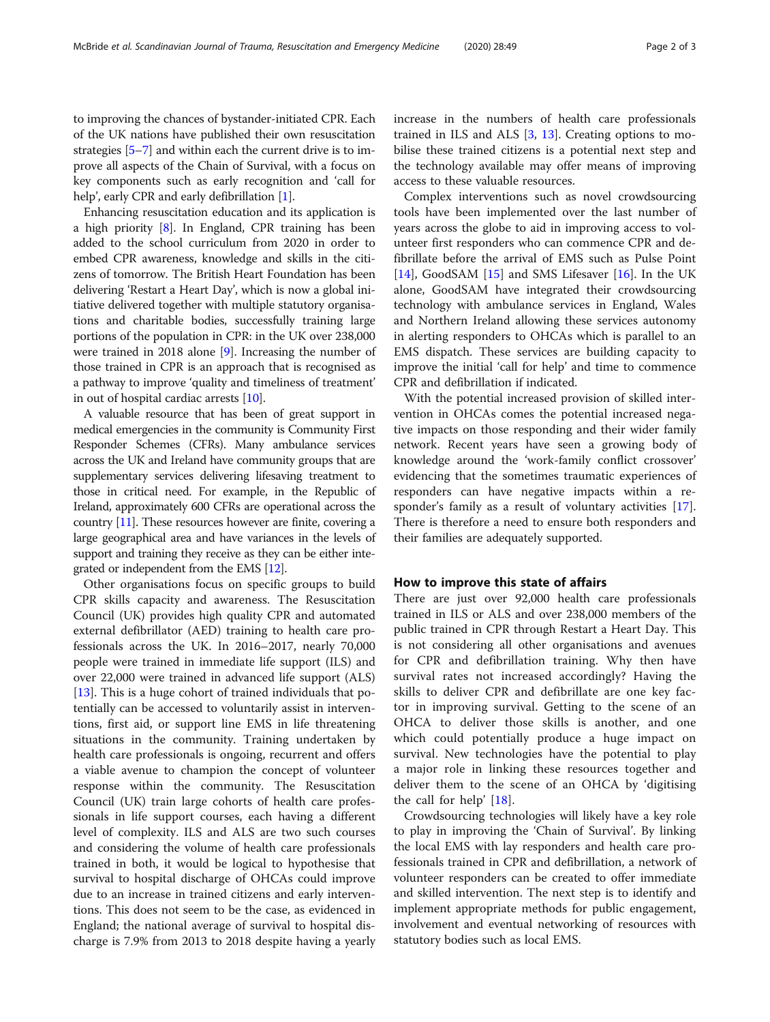to improving the chances of bystander-initiated CPR. Each of the UK nations have published their own resuscitation strategies [[5](#page-2-0)–[7](#page-2-0)] and within each the current drive is to improve all aspects of the Chain of Survival, with a focus on key components such as early recognition and 'call for help', early CPR and early defibrillation [\[1](#page-2-0)].

Enhancing resuscitation education and its application is a high priority [\[8](#page-2-0)]. In England, CPR training has been added to the school curriculum from 2020 in order to embed CPR awareness, knowledge and skills in the citizens of tomorrow. The British Heart Foundation has been delivering 'Restart a Heart Day', which is now a global initiative delivered together with multiple statutory organisations and charitable bodies, successfully training large portions of the population in CPR: in the UK over 238,000 were trained in 2018 alone [\[9](#page-2-0)]. Increasing the number of those trained in CPR is an approach that is recognised as a pathway to improve 'quality and timeliness of treatment' in out of hospital cardiac arrests [[10](#page-2-0)].

A valuable resource that has been of great support in medical emergencies in the community is Community First Responder Schemes (CFRs). Many ambulance services across the UK and Ireland have community groups that are supplementary services delivering lifesaving treatment to those in critical need. For example, in the Republic of Ireland, approximately 600 CFRs are operational across the country [[11\]](#page-2-0). These resources however are finite, covering a large geographical area and have variances in the levels of support and training they receive as they can be either integrated or independent from the EMS [[12](#page-2-0)].

Other organisations focus on specific groups to build CPR skills capacity and awareness. The Resuscitation Council (UK) provides high quality CPR and automated external defibrillator (AED) training to health care professionals across the UK. In 2016–2017, nearly 70,000 people were trained in immediate life support (ILS) and over 22,000 were trained in advanced life support (ALS) [[13\]](#page-2-0). This is a huge cohort of trained individuals that potentially can be accessed to voluntarily assist in interventions, first aid, or support line EMS in life threatening situations in the community. Training undertaken by health care professionals is ongoing, recurrent and offers a viable avenue to champion the concept of volunteer response within the community. The Resuscitation Council (UK) train large cohorts of health care professionals in life support courses, each having a different level of complexity. ILS and ALS are two such courses and considering the volume of health care professionals trained in both, it would be logical to hypothesise that survival to hospital discharge of OHCAs could improve due to an increase in trained citizens and early interventions. This does not seem to be the case, as evidenced in England; the national average of survival to hospital discharge is 7.9% from 2013 to 2018 despite having a yearly increase in the numbers of health care professionals trained in ILS and ALS [\[3](#page-2-0), [13\]](#page-2-0). Creating options to mobilise these trained citizens is a potential next step and the technology available may offer means of improving access to these valuable resources.

Complex interventions such as novel crowdsourcing tools have been implemented over the last number of years across the globe to aid in improving access to volunteer first responders who can commence CPR and defibrillate before the arrival of EMS such as Pulse Point [[14\]](#page-2-0), GoodSAM [[15\]](#page-2-0) and SMS Lifesaver  $[16]$  $[16]$  $[16]$ . In the UK alone, GoodSAM have integrated their crowdsourcing technology with ambulance services in England, Wales and Northern Ireland allowing these services autonomy in alerting responders to OHCAs which is parallel to an EMS dispatch. These services are building capacity to improve the initial 'call for help' and time to commence CPR and defibrillation if indicated.

With the potential increased provision of skilled intervention in OHCAs comes the potential increased negative impacts on those responding and their wider family network. Recent years have seen a growing body of knowledge around the 'work-family conflict crossover' evidencing that the sometimes traumatic experiences of responders can have negative impacts within a responder's family as a result of voluntary activities [\[17](#page-2-0)]. There is therefore a need to ensure both responders and their families are adequately supported.

#### How to improve this state of affairs

There are just over 92,000 health care professionals trained in ILS or ALS and over 238,000 members of the public trained in CPR through Restart a Heart Day. This is not considering all other organisations and avenues for CPR and defibrillation training. Why then have survival rates not increased accordingly? Having the skills to deliver CPR and defibrillate are one key factor in improving survival. Getting to the scene of an OHCA to deliver those skills is another, and one which could potentially produce a huge impact on survival. New technologies have the potential to play a major role in linking these resources together and deliver them to the scene of an OHCA by 'digitising the call for help' [[18\]](#page-2-0).

Crowdsourcing technologies will likely have a key role to play in improving the 'Chain of Survival'. By linking the local EMS with lay responders and health care professionals trained in CPR and defibrillation, a network of volunteer responders can be created to offer immediate and skilled intervention. The next step is to identify and implement appropriate methods for public engagement, involvement and eventual networking of resources with statutory bodies such as local EMS.